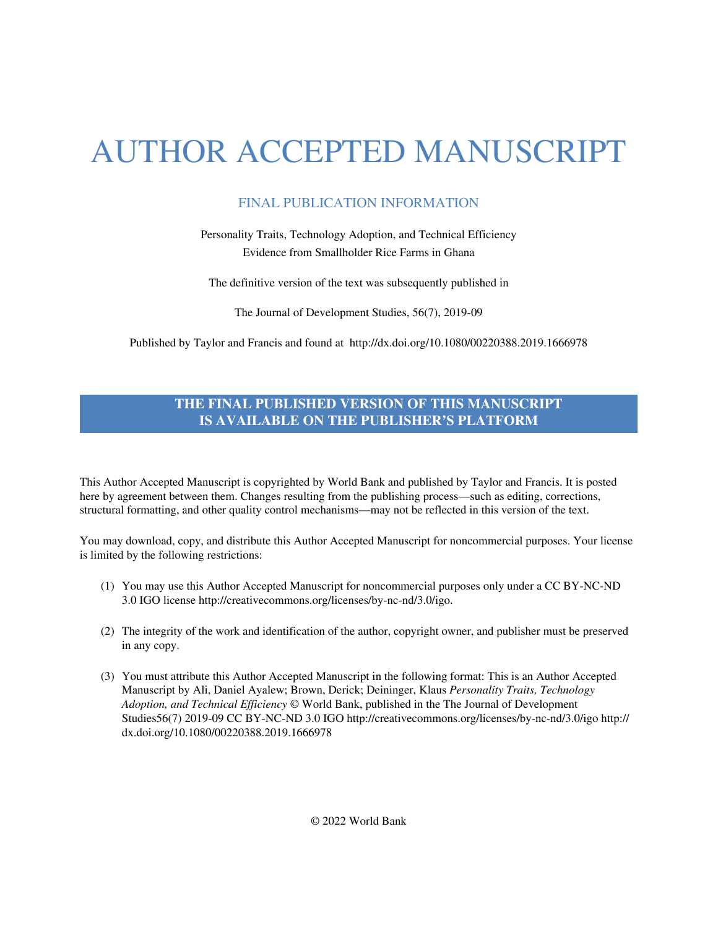# AUTHOR ACCEPTED MANUSCRIPT

## FINAL PUBLICATION INFORMATION

Personality Traits, Technology Adoption, and Technical Efficiency Evidence from Smallholder Rice Farms in Ghana

The definitive version of the text was subsequently published in

The Journal of Development Studies, 56(7), 2019-09

Published by Taylor and Francis and found at <http://dx.doi.org/10.1080/00220388.2019.1666978>

### **THE FINAL PUBLISHED VERSION OF THIS MANUSCRIPT IS AVAILABLE ON THE PUBLISHER'S PLATFORM**

This Author Accepted Manuscript is copyrighted by World Bank and published by Taylor and Francis. It is posted here by agreement between them. Changes resulting from the publishing process—such as editing, corrections, structural formatting, and other quality control mechanisms—may not be reflected in this version of the text.

You may download, copy, and distribute this Author Accepted Manuscript for noncommercial purposes. Your license is limited by the following restrictions:

- (1) You may use this Author Accepted Manuscript for noncommercial purposes only under a CC BY-NC-ND 3.0 IGO licens[e http://creativecommons.org/licenses/by-nc-nd/3.0/igo.](http://creativecommons.org/licenses/by-nc-nd/3.0/igo)
- (2) The integrity of the work and identification of the author, copyright owner, and publisher must be preserved in any copy.
- (3) You must attribute this Author Accepted Manuscript in the following format: This is an Author Accepted Manuscript by Ali, Daniel Ayalew; Brown, Derick; Deininger, Klaus *Personality Traits, Technology Adoption, and Technical Efficiency* © World Bank, published in the The Journal of Development Studies56(7) 2019-09 [CC BY-NC-ND 3.0 IGO http://creativecommons.org/licenses/by-nc-nd/3.0/igo](http://creativecommons.org/licenses/by-nc-nd/3.0/igo) [http://](http://dx.doi.org/10.1080/00220388.2019.1666978) [dx.doi.org/10.1080/00220388.2019.1666978](http://dx.doi.org/10.1080/00220388.2019.1666978)

© 2022 World Bank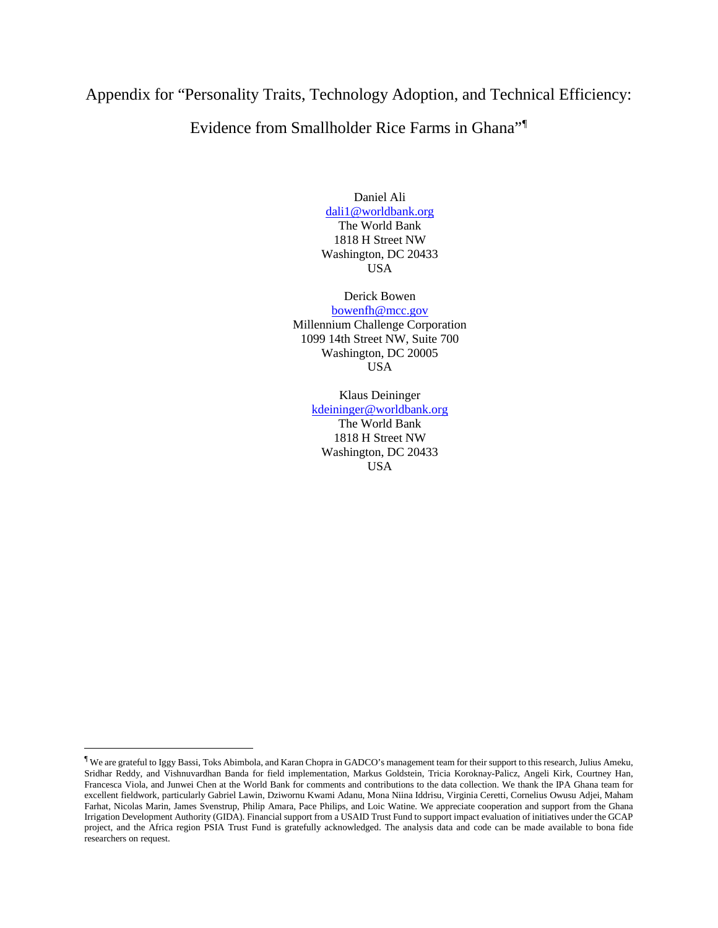# Appendix for "Personality Traits, Technology Adoption, and Technical Efficiency:

## Evidence from Smallholder Rice Farms in Ghana"[¶](#page-1-0)

Daniel Ali [dali1@worldbank.org](mailto:dali1@worldbank.org) The World Bank 1818 H Street NW Washington, DC 20433 USA

Derick Bowen [bowenfh@mcc.gov](mailto:bowenfh@mcc.gov) Millennium Challenge Corporation 1099 14th Street NW, Suite 700 Washington, DC 20005 USA

Klaus Deininger [kdeininger@worldbank.org](mailto:kdeininger@worldbank.org)

The World Bank 1818 H Street NW Washington, DC 20433 USA

 $\overline{\phantom{a}}$ 

<span id="page-1-0"></span><sup>¶</sup> We are grateful to Iggy Bassi, Toks Abimbola, and Karan Chopra in GADCO's management team for their support to this research, Julius Ameku, Sridhar Reddy, and Vishnuvardhan Banda for field implementation, Markus Goldstein, Tricia Koroknay-Palicz, Angeli Kirk, Courtney Han, Francesca Viola, and Junwei Chen at the World Bank for comments and contributions to the data collection. We thank the IPA Ghana team for excellent fieldwork, particularly Gabriel Lawin, Dziwornu Kwami Adanu, Mona Niina Iddrisu, Virginia Ceretti, Cornelius Owusu Adjei, Maham Farhat, Nicolas Marin, James Svenstrup, Philip Amara, Pace Philips, and Loic Watine. We appreciate cooperation and support from the Ghana Irrigation Development Authority (GIDA). Financial support from a USAID Trust Fund to support impact evaluation of initiatives under the GCAP project, and the Africa region PSIA Trust Fund is gratefully acknowledged. The analysis data and code can be made available to bona fide researchers on request.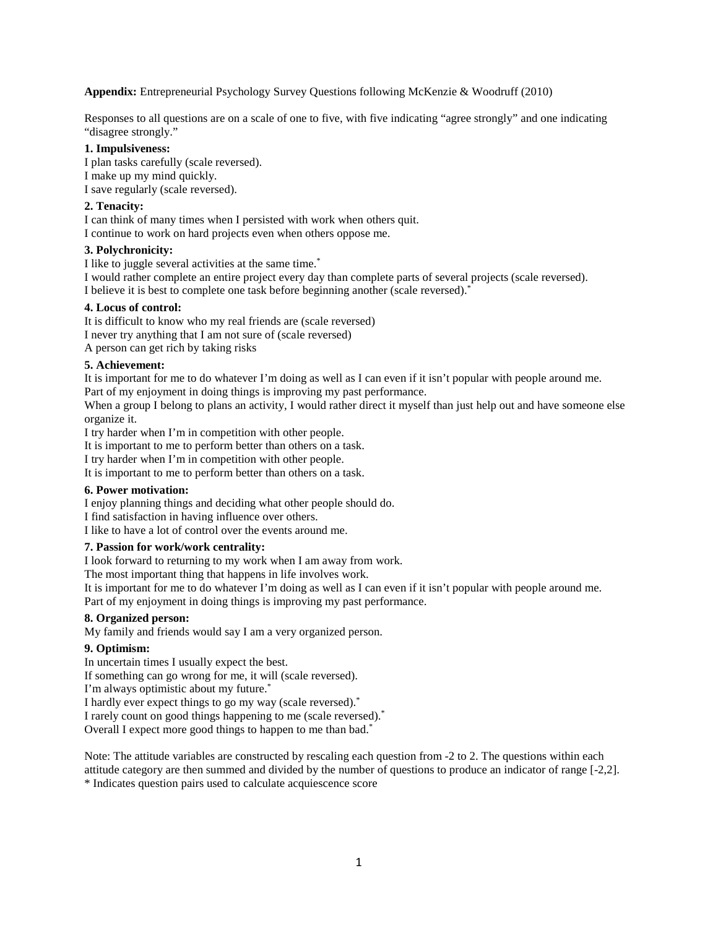**Appendix:** Entrepreneurial Psychology Survey Questions following McKenzie & Woodruff (2010)

Responses to all questions are on a scale of one to five, with five indicating "agree strongly" and one indicating "disagree strongly."

#### **1. Impulsiveness:**

I plan tasks carefully (scale reversed). I make up my mind quickly. I save regularly (scale reversed).

#### **2. Tenacity:**

I can think of many times when I persisted with work when others quit.

I continue to work on hard projects even when others oppose me.

#### **3. Polychronicity:**

I like to juggle several activities at the same time.\*

I would rather complete an entire project every day than complete parts of several projects (scale reversed). I believe it is best to complete one task before beginning another (scale reversed).\*

#### **4. Locus of control:**

It is difficult to know who my real friends are (scale reversed) I never try anything that I am not sure of (scale reversed) A person can get rich by taking risks

#### **5. Achievement:**

It is important for me to do whatever I'm doing as well as I can even if it isn't popular with people around me.

Part of my enjoyment in doing things is improving my past performance.

When a group I belong to plans an activity, I would rather direct it myself than just help out and have someone else organize it.

I try harder when I'm in competition with other people.

It is important to me to perform better than others on a task.

I try harder when I'm in competition with other people.

It is important to me to perform better than others on a task.

#### **6. Power motivation:**

I enjoy planning things and deciding what other people should do.

I find satisfaction in having influence over others.

I like to have a lot of control over the events around me.

#### **7. Passion for work/work centrality:**

I look forward to returning to my work when I am away from work.

The most important thing that happens in life involves work.

It is important for me to do whatever I'm doing as well as I can even if it isn't popular with people around me.

Part of my enjoyment in doing things is improving my past performance.

#### **8. Organized person:**

My family and friends would say I am a very organized person.

#### **9. Optimism:**

In uncertain times I usually expect the best.

If something can go wrong for me, it will (scale reversed).

I'm always optimistic about my future.\*

I hardly ever expect things to go my way (scale reversed).\*

I rarely count on good things happening to me (scale reversed).\*

Overall I expect more good things to happen to me than bad.<sup>\*</sup>

Note: The attitude variables are constructed by rescaling each question from -2 to 2. The questions within each attitude category are then summed and divided by the number of questions to produce an indicator of range [-2,2].

\* Indicates question pairs used to calculate acquiescence score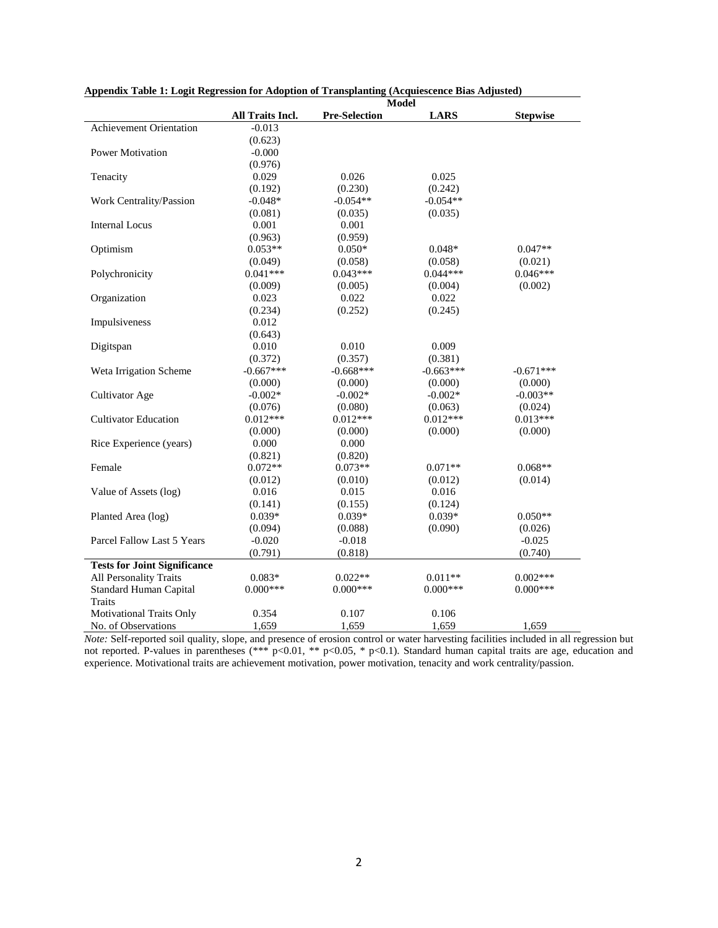|                                     |                  | Model                |             |                 |
|-------------------------------------|------------------|----------------------|-------------|-----------------|
|                                     | All Traits Incl. | <b>Pre-Selection</b> | <b>LARS</b> | <b>Stepwise</b> |
| <b>Achievement Orientation</b>      | $-0.013$         |                      |             |                 |
|                                     | (0.623)          |                      |             |                 |
| <b>Power Motivation</b>             | $-0.000$         |                      |             |                 |
|                                     | (0.976)          |                      |             |                 |
| Tenacity                            | 0.029            | 0.026                | 0.025       |                 |
|                                     | (0.192)          | (0.230)              | (0.242)     |                 |
| Work Centrality/Passion             | $-0.048*$        | $-0.054**$           | $-0.054**$  |                 |
|                                     | (0.081)          | (0.035)              | (0.035)     |                 |
| <b>Internal Locus</b>               | 0.001            | 0.001                |             |                 |
|                                     | (0.963)          | (0.959)              |             |                 |
| Optimism                            | $0.053**$        | $0.050*$             | $0.048*$    | $0.047**$       |
|                                     | (0.049)          | (0.058)              | (0.058)     | (0.021)         |
| Polychronicity                      | $0.041***$       | $0.043***$           | $0.044***$  | $0.046***$      |
|                                     | (0.009)          | (0.005)              | (0.004)     | (0.002)         |
| Organization                        | 0.023            | 0.022                | 0.022       |                 |
|                                     | (0.234)          | (0.252)              | (0.245)     |                 |
| Impulsiveness                       | 0.012            |                      |             |                 |
|                                     | (0.643)          |                      |             |                 |
| Digitspan                           | 0.010            | 0.010                | 0.009       |                 |
|                                     | (0.372)          | (0.357)              | (0.381)     |                 |
| Weta Irrigation Scheme              | $-0.667***$      | $-0.668***$          | $-0.663***$ | $-0.671***$     |
|                                     | (0.000)          | (0.000)              | (0.000)     | (0.000)         |
| Cultivator Age                      | $-0.002*$        | $-0.002*$            | $-0.002*$   | $-0.003**$      |
|                                     | (0.076)          | (0.080)              | (0.063)     | (0.024)         |
| <b>Cultivator Education</b>         | $0.012***$       | $0.012***$           | $0.012***$  | $0.013***$      |
|                                     | (0.000)          | (0.000)              | (0.000)     | (0.000)         |
| Rice Experience (years)             | 0.000            | 0.000                |             |                 |
|                                     | (0.821)          | (0.820)              |             |                 |
| Female                              | $0.072**$        | $0.073**$            | $0.071**$   | $0.068**$       |
|                                     | (0.012)          | (0.010)              | (0.012)     | (0.014)         |
| Value of Assets (log)               | 0.016            | 0.015                | 0.016       |                 |
|                                     | (0.141)          | (0.155)              | (0.124)     |                 |
| Planted Area (log)                  | $0.039*$         | $0.039*$             | $0.039*$    | $0.050**$       |
|                                     | (0.094)          | (0.088)              | (0.090)     | (0.026)         |
| Parcel Fallow Last 5 Years          | $-0.020$         | $-0.018$             |             | $-0.025$        |
|                                     | (0.791)          | (0.818)              |             | (0.740)         |
| <b>Tests for Joint Significance</b> |                  |                      |             |                 |
| All Personality Traits              | $0.083*$         | $0.022**$            | $0.011**$   | $0.002***$      |
| Standard Human Capital              | $0.000***$       | $0.000***$           | $0.000***$  | $0.000***$      |
| <b>Traits</b>                       |                  |                      |             |                 |
| <b>Motivational Traits Only</b>     | 0.354            | 0.107                | 0.106       |                 |
| No. of Observations                 | 1,659            | 1,659                | 1,659       | 1.659           |

**Appendix Table 1: Logit Regression for Adoption of Transplanting (Acquiescence Bias Adjusted)**

*Note:* Self-reported soil quality, slope, and presence of erosion control or water harvesting facilities included in all regression but not reported. P-values in parentheses (\*\*\*  $p<0.01$ , \*\*  $p<0.05$ , \*  $p<0.1$ ). Standard human capital traits are age, education and experience. Motivational traits are achievement motivation, power motivation, tenacity and work centrality/passion.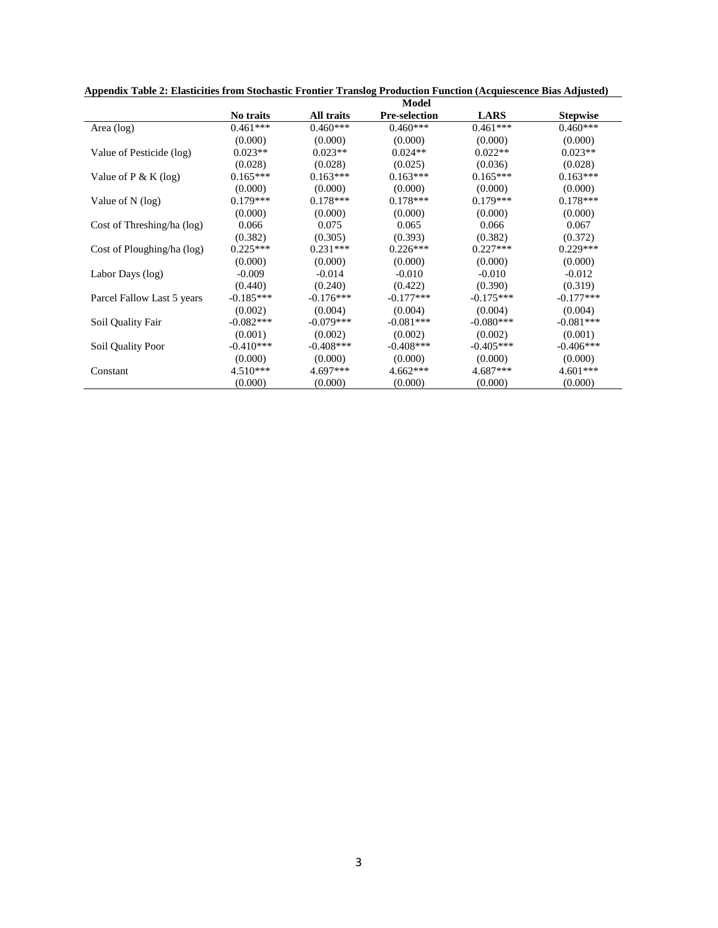|                            |             |             | Model                |             |                 |
|----------------------------|-------------|-------------|----------------------|-------------|-----------------|
|                            | No traits   | All traits  | <b>Pre-selection</b> | <b>LARS</b> | <b>Stepwise</b> |
| Area $(log)$               | $0.461***$  | $0.460***$  | $0.460***$           | $0.461***$  | $0.460***$      |
|                            | (0.000)     | (0.000)     | (0.000)              | (0.000)     | (0.000)         |
| Value of Pesticide (log)   | $0.023**$   | $0.023**$   | $0.024**$            | $0.022**$   | $0.023**$       |
|                            | (0.028)     | (0.028)     | (0.025)              | (0.036)     | (0.028)         |
| Value of $P \& K (log)$    | $0.165***$  | $0.163***$  | $0.163***$           | $0.165***$  | $0.163***$      |
|                            | (0.000)     | (0.000)     | (0.000)              | (0.000)     | (0.000)         |
| Value of $N$ (log)         | $0.179***$  | $0.178***$  | $0.178***$           | $0.179***$  | $0.178***$      |
|                            | (0.000)     | (0.000)     | (0.000)              | (0.000)     | (0.000)         |
| Cost of Threshing/ha (log) | 0.066       | 0.075       | 0.065                | 0.066       | 0.067           |
|                            | (0.382)     | (0.305)     | (0.393)              | (0.382)     | (0.372)         |
| Cost of Ploughing/ha (log) | $0.225***$  | $0.231***$  | $0.226***$           | $0.227***$  | $0.229***$      |
|                            | (0.000)     | (0.000)     | (0.000)              | (0.000)     | (0.000)         |
| Labor Days (log)           | $-0.009$    | $-0.014$    | $-0.010$             | $-0.010$    | $-0.012$        |
|                            | (0.440)     | (0.240)     | (0.422)              | (0.390)     | (0.319)         |
| Parcel Fallow Last 5 years | $-0.185***$ | $-0.176***$ | $-0.177***$          | $-0.175***$ | $-0.177***$     |
|                            | (0.002)     | (0.004)     | (0.004)              | (0.004)     | (0.004)         |
| Soil Quality Fair          | $-0.082***$ | $-0.079***$ | $-0.081***$          | $-0.080***$ | $-0.081***$     |
|                            | (0.001)     | (0.002)     | (0.002)              | (0.002)     | (0.001)         |
| Soil Quality Poor          | $-0.410***$ | $-0.408***$ | $-0.408***$          | $-0.405***$ | $-0.406***$     |
|                            | (0.000)     | (0.000)     | (0.000)              | (0.000)     | (0.000)         |
| Constant                   | $4.510***$  | $4.697***$  | $4.662***$           | 4.687***    | $4.601***$      |
|                            | (0.000)     | (0.000)     | (0.000)              | (0.000)     | (0.000)         |

**Appendix Table 2: Elasticities from Stochastic Frontier Translog Production Function (Acquiescence Bias Adjusted)**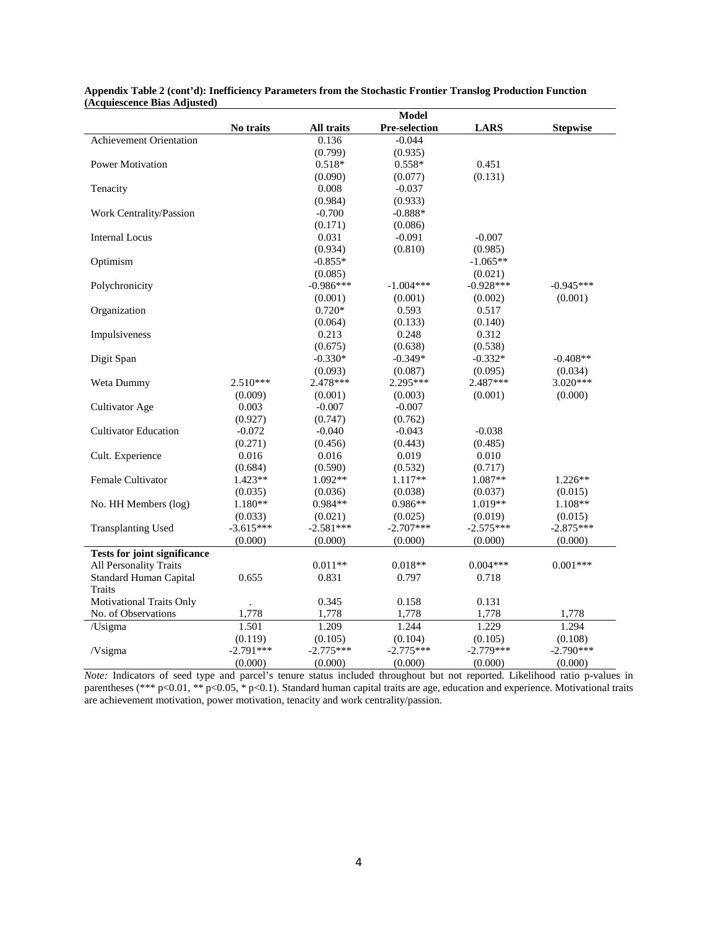|                                     | <b>Model</b> |             |                     |             |                 |
|-------------------------------------|--------------|-------------|---------------------|-------------|-----------------|
|                                     | No traits    | All traits  | Pre-selection       | <b>LARS</b> | <b>Stepwise</b> |
| Achievement Orientation             |              | 0.136       | $-0.044$            |             |                 |
|                                     |              | (0.799)     | (0.935)             |             |                 |
| <b>Power Motivation</b>             |              | $0.518*$    | $0.558*$            | 0.451       |                 |
|                                     |              | (0.090)     | (0.077)             | (0.131)     |                 |
| Tenacity                            |              | 0.008       | $-0.037$            |             |                 |
|                                     |              | (0.984)     | (0.933)             |             |                 |
| Work Centrality/Passion             |              | $-0.700$    | $-0.888*$           |             |                 |
|                                     |              | (0.171)     | (0.086)             |             |                 |
| <b>Internal Locus</b>               |              | 0.031       | $-0.091$            | $-0.007$    |                 |
|                                     |              | (0.934)     | (0.810)             | (0.985)     |                 |
| Optimism                            |              | $-0.855*$   |                     | $-1.065**$  |                 |
|                                     |              | (0.085)     |                     | (0.021)     |                 |
| Polychronicity                      |              | $-0.986***$ | $-1.004***$         | $-0.928***$ | $-0.945***$     |
|                                     |              | (0.001)     | (0.001)             | (0.002)     | (0.001)         |
| Organization                        |              | $0.720*$    | 0.593               | 0.517       |                 |
|                                     |              | (0.064)     | (0.133)             | (0.140)     |                 |
| Impulsiveness                       |              | 0.213       | 0.248               | 0.312       |                 |
|                                     |              | (0.675)     | (0.638)             | (0.538)     |                 |
| Digit Span                          |              | $-0.330*$   | $-0.349*$           | $-0.332*$   | $-0.408**$      |
|                                     |              | (0.093)     | (0.087)             | (0.095)     | (0.034)         |
| Weta Dummy                          | $2.510***$   | 2.478***    | $2.295***$          | 2.487***    | 3.020***        |
|                                     | (0.009)      | (0.001)     | (0.003)             | (0.001)     | (0.000)         |
| Cultivator Age                      | 0.003        | $-0.007$    | $-0.007$            |             |                 |
|                                     | (0.927)      | (0.747)     | (0.762)             |             |                 |
| <b>Cultivator Education</b>         | $-0.072$     |             |                     | $-0.038$    |                 |
|                                     | (0.271)      | $-0.040$    | $-0.043$<br>(0.443) |             |                 |
|                                     |              | (0.456)     |                     | (0.485)     |                 |
| Cult. Experience                    | 0.016        | 0.016       | 0.019               | 0.010       |                 |
|                                     | (0.684)      | (0.590)     | (0.532)             | (0.717)     |                 |
| Female Cultivator                   | $1.423**$    | 1.092**     | 1.117**             | $1.087**$   | $1.226**$       |
|                                     | (0.035)      | (0.036)     | (0.038)             | (0.037)     | (0.015)         |
| No. HH Members (log)                | 1.180**      | $0.984**$   | $0.986**$           | 1.019**     | $1.108**$       |
|                                     | (0.033)      | (0.021)     | (0.025)             | (0.019)     | (0.015)         |
| <b>Transplanting Used</b>           | $-3.615***$  | $-2.581***$ | $-2.707***$         | $-2.575***$ | $-2.875***$     |
|                                     | (0.000)      | (0.000)     | (0.000)             | (0.000)     | (0.000)         |
| <b>Tests for joint significance</b> |              |             |                     |             |                 |
| All Personality Traits              |              | $0.011**$   | $0.018**$           | $0.004***$  | $0.001***$      |
| Standard Human Capital              | 0.655        | 0.831       | 0.797               | 0.718       |                 |
| <b>Traits</b>                       |              |             |                     |             |                 |
| <b>Motivational Traits Only</b>     |              | 0.345       | 0.158               | 0.131       |                 |
| No. of Observations                 | 1,778        | 1,778       | 1,778               | 1,778       | 1,778           |
| /Usigma                             | 1.501        | 1.209       | 1.244               | 1.229       | 1.294           |
|                                     | (0.119)      | (0.105)     | (0.104)             | (0.105)     | (0.108)         |
| /Vsigma                             | $-2.791***$  | $-2.775***$ | $-2.775***$         | $-2.779***$ | $-2.790***$     |
|                                     | (0.000)      | (0.000)     | (0.000)             | (0.000)     | (0.000)         |

**Appendix Table 2 (cont'd): Inefficiency Parameters from the Stochastic Frontier Translog Production Function (Acquiescence Bias Adjusted)**

*Note:* Indicators of seed type and parcel's tenure status included throughout but not reported. Likelihood ratio p-values in parentheses (\*\*\* p<0.01, \*\* p<0.05, \* p<0.1). Standard human capital traits are age, education and experience. Motivational traits are achievement motivation, power motivation, tenacity and work centrality/passion.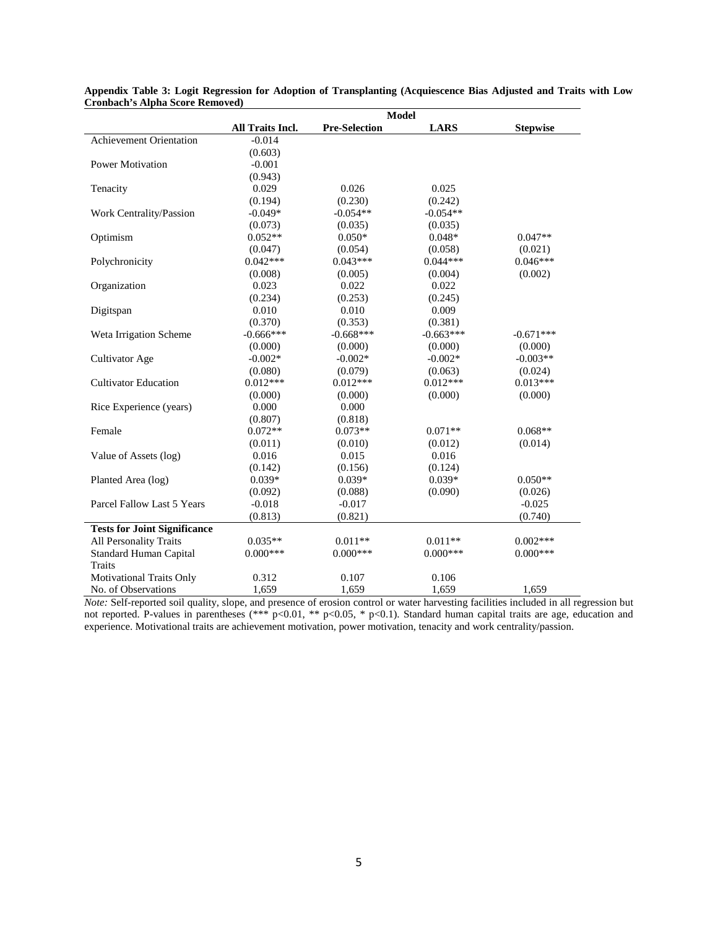|                                     |                  | <b>Model</b>         |             |                 |
|-------------------------------------|------------------|----------------------|-------------|-----------------|
|                                     | All Traits Incl. | <b>Pre-Selection</b> | <b>LARS</b> | <b>Stepwise</b> |
| Achievement Orientation             | $-0.014$         |                      |             |                 |
|                                     | (0.603)          |                      |             |                 |
| <b>Power Motivation</b>             | $-0.001$         |                      |             |                 |
|                                     | (0.943)          |                      |             |                 |
| Tenacity                            | 0.029            | 0.026                | 0.025       |                 |
|                                     | (0.194)          | (0.230)              | (0.242)     |                 |
| Work Centrality/Passion             | $-0.049*$        | $-0.054**$           | $-0.054**$  |                 |
|                                     | (0.073)          | (0.035)              | (0.035)     |                 |
| Optimism                            | $0.052**$        | $0.050*$             | $0.048*$    | $0.047**$       |
|                                     | (0.047)          | (0.054)              | (0.058)     | (0.021)         |
| Polychronicity                      | $0.042***$       | $0.043***$           | $0.044***$  | $0.046***$      |
|                                     | (0.008)          | (0.005)              | (0.004)     | (0.002)         |
| Organization                        | 0.023            | 0.022                | 0.022       |                 |
|                                     | (0.234)          | (0.253)              | (0.245)     |                 |
| Digitspan                           | 0.010            | 0.010                | 0.009       |                 |
|                                     | (0.370)          | (0.353)              | (0.381)     |                 |
| Weta Irrigation Scheme              | $-0.666***$      | $-0.668***$          | $-0.663***$ | $-0.671***$     |
|                                     | (0.000)          | (0.000)              | (0.000)     | (0.000)         |
| Cultivator Age                      | $-0.002*$        | $-0.002*$            | $-0.002*$   | $-0.003**$      |
|                                     | (0.080)          | (0.079)              | (0.063)     | (0.024)         |
| <b>Cultivator Education</b>         | $0.012***$       | $0.012***$           | $0.012***$  | $0.013***$      |
|                                     | (0.000)          | (0.000)              | (0.000)     | (0.000)         |
| Rice Experience (years)             | 0.000            | 0.000                |             |                 |
|                                     | (0.807)          | (0.818)              |             |                 |
| Female                              | $0.072**$        | $0.073**$            | $0.071**$   | $0.068**$       |
|                                     | (0.011)          | (0.010)              | (0.012)     | (0.014)         |
| Value of Assets (log)               | 0.016            | 0.015                | 0.016       |                 |
|                                     | (0.142)          | (0.156)              | (0.124)     |                 |
| Planted Area (log)                  | $0.039*$         | $0.039*$             | $0.039*$    | $0.050**$       |
|                                     | (0.092)          | (0.088)              | (0.090)     | (0.026)         |
| Parcel Fallow Last 5 Years          | $-0.018$         | $-0.017$             |             | $-0.025$        |
|                                     | (0.813)          | (0.821)              |             | (0.740)         |
| <b>Tests for Joint Significance</b> |                  |                      |             |                 |
| All Personality Traits              | $0.035**$        | $0.011**$            | $0.011**$   | $0.002***$      |
| Standard Human Capital              | $0.000***$       | $0.000***$           | $0.000***$  | $0.000***$      |
| <b>Traits</b>                       |                  |                      |             |                 |
| <b>Motivational Traits Only</b>     | 0.312            | 0.107                | 0.106       |                 |
| No. of Observations                 | 1,659            | 1,659                | 1,659       | 1.659           |

**Appendix Table 3: Logit Regression for Adoption of Transplanting (Acquiescence Bias Adjusted and Traits with Low Cronbach's Alpha Score Removed)**

*Note:* Self-reported soil quality, slope, and presence of erosion control or water harvesting facilities included in all regression but not reported. P-values in parentheses (\*\*\*  $p<0.01$ , \*\*  $p<0.05$ , \*  $p<0.1$ ). Standard human capital traits are age, education and experience. Motivational traits are achievement motivation, power motivation, tenacity and work centrality/passion.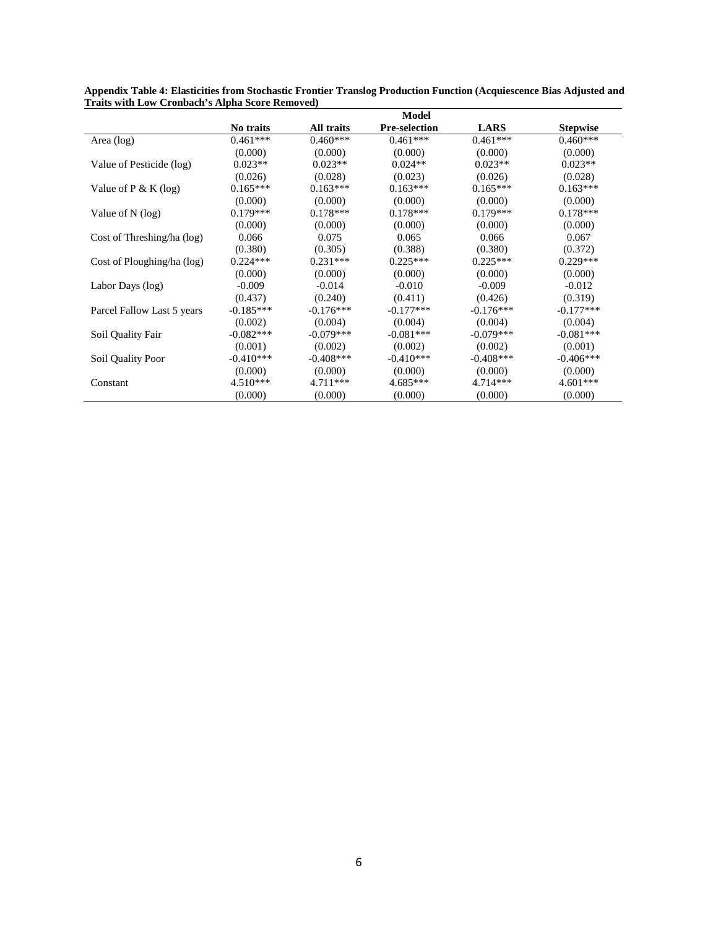|                            |             |              | <b>Model</b>         |             |                 |
|----------------------------|-------------|--------------|----------------------|-------------|-----------------|
|                            | No traits   | All traits   | <b>Pre-selection</b> | <b>LARS</b> | <b>Stepwise</b> |
| Area (log)                 | $0.461***$  | $0.460***$   | $0.461***$           | $0.461***$  | $0.460***$      |
|                            | (0.000)     | (0.000)      | (0.000)              | (0.000)     | (0.000)         |
| Value of Pesticide (log)   | $0.023**$   | $0.023**$    | $0.024**$            | $0.023**$   | $0.023**$       |
|                            | (0.026)     | (0.028)      | (0.023)              | (0.026)     | (0.028)         |
| Value of $P & K (log)$     | $0.165***$  | $0.163***$   | $0.163***$           | $0.165***$  | $0.163***$      |
|                            | (0.000)     | (0.000)      | (0.000)              | (0.000)     | (0.000)         |
| Value of $N$ (log)         | $0.179***$  | $0.178***$   | $0.178***$           | $0.179***$  | $0.178***$      |
|                            | (0.000)     | (0.000)      | (0.000)              | (0.000)     | (0.000)         |
| Cost of Threshing/ha (log) | 0.066       | 0.075        | 0.065                | 0.066       | 0.067           |
|                            | (0.380)     | (0.305)      | (0.388)              | (0.380)     | (0.372)         |
| Cost of Ploughing/ha (log) | $0.224***$  | $0.231***$   | $0.225***$           | $0.225***$  | $0.229***$      |
|                            | (0.000)     | (0.000)      | (0.000)              | (0.000)     | (0.000)         |
| Labor Days (log)           | $-0.009$    | $-0.014$     | $-0.010$             | $-0.009$    | $-0.012$        |
|                            | (0.437)     | (0.240)      | (0.411)              | (0.426)     | (0.319)         |
| Parcel Fallow Last 5 years | $-0.185***$ | $-0.176***$  | $-0.177***$          | $-0.176***$ | $-0.177***$     |
|                            | (0.002)     | (0.004)      | (0.004)              | (0.004)     | (0.004)         |
| Soil Quality Fair          | $-0.082***$ | $-0.079***$  | $-0.081***$          | $-0.079***$ | $-0.081***$     |
|                            | (0.001)     | (0.002)      | (0.002)              | (0.002)     | (0.001)         |
| Soil Quality Poor          | $-0.410***$ | $-0.408$ *** | $-0.410***$          | $-0.408***$ | $-0.406***$     |
|                            | (0.000)     | (0.000)      | (0.000)              | (0.000)     | (0.000)         |
| Constant                   | $4.510***$  | $4.711***$   | $4.685***$           | $4.714***$  | $4.601***$      |
|                            | (0.000)     | (0.000)      | (0.000)              | (0.000)     | (0.000)         |

**Appendix Table 4: Elasticities from Stochastic Frontier Translog Production Function (Acquiescence Bias Adjusted and Traits with Low Cronbach's Alpha Score Removed)**